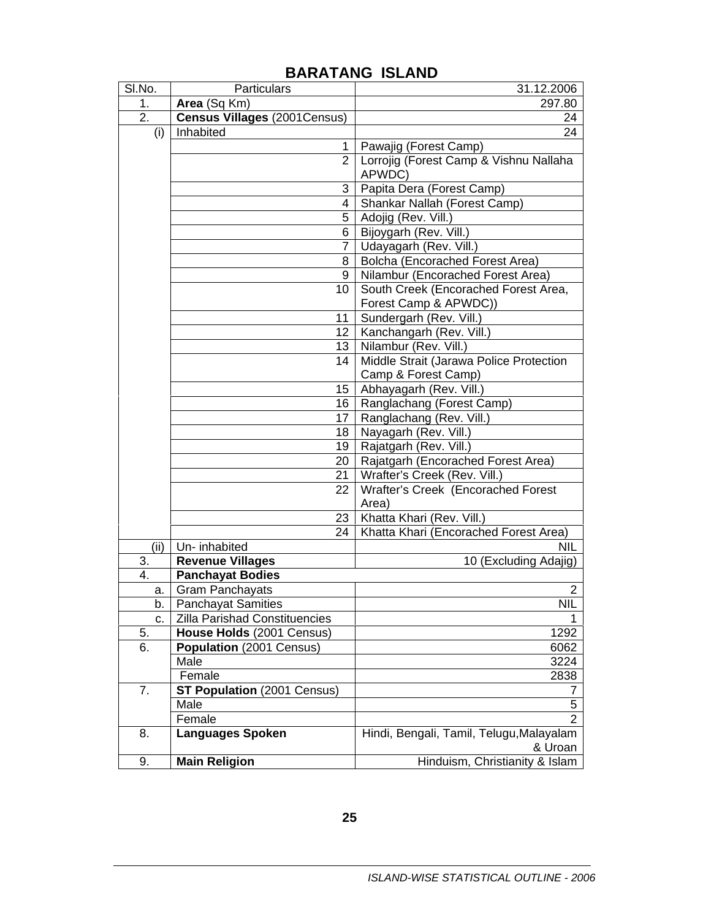| SI.No. | Particulars                   | 31.12.2006                               |  |
|--------|-------------------------------|------------------------------------------|--|
| 1.     | Area (Sq Km)                  | 297.80                                   |  |
| 2.     | Census Villages (2001Census)  | 24                                       |  |
| (i)    | Inhabited                     | 24                                       |  |
|        | 1                             | Pawajig (Forest Camp)                    |  |
|        | $\overline{2}$                | Lorrojig (Forest Camp & Vishnu Nallaha   |  |
|        |                               | APWDC)                                   |  |
|        | 3                             | Papita Dera (Forest Camp)                |  |
|        | 4                             | Shankar Nallah (Forest Camp)             |  |
|        | 5                             | Adojig (Rev. Vill.)                      |  |
|        | 6                             | Bijoygarh (Rev. Vill.)                   |  |
|        | 7                             | Udayagarh (Rev. Vill.)                   |  |
|        | 8                             | <b>Bolcha (Encorached Forest Area)</b>   |  |
|        | 9                             | Nilambur (Encorached Forest Area)        |  |
|        | 10                            | South Creek (Encorached Forest Area,     |  |
|        |                               | Forest Camp & APWDC))                    |  |
|        | 11                            | Sundergarh (Rev. Vill.)                  |  |
|        | 12 <sub>1</sub>               | Kanchangarh (Rev. Vill.)                 |  |
|        | 13 <sup>1</sup>               | Nilambur (Rev. Vill.)                    |  |
|        | 14                            | Middle Strait (Jarawa Police Protection  |  |
|        |                               | Camp & Forest Camp)                      |  |
|        | 15                            | Abhayagarh (Rev. Vill.)                  |  |
|        | 16                            | Ranglachang (Forest Camp)                |  |
|        | 17                            | Ranglachang (Rev. Vill.)                 |  |
|        | 18                            | Nayagarh (Rev. Vill.)                    |  |
|        | 19                            | Rajatgarh (Rev. Vill.)                   |  |
|        | 20                            | Rajatgarh (Encorached Forest Area)       |  |
|        | 21                            | Wrafter's Creek (Rev. Vill.)             |  |
|        | 22                            | Wrafter's Creek (Encorached Forest       |  |
|        |                               | Area)                                    |  |
|        | 23                            | Khatta Khari (Rev. Vill.)                |  |
|        | 24                            | Khatta Khari (Encorached Forest Area)    |  |
| (ii)   | Un-inhabited                  | NIL                                      |  |
| 3.     | <b>Revenue Villages</b>       | 10 (Excluding Adajig)                    |  |
| 4.     | <b>Panchayat Bodies</b>       |                                          |  |
| a.     | <b>Gram Panchayats</b>        | $\mathbf{2}^{\prime}$                    |  |
| b.     | <b>Panchayat Samities</b>     | <b>NIL</b>                               |  |
| c.     | Zilla Parishad Constituencies | 1                                        |  |
| 5.     | House Holds (2001 Census)     | 1292                                     |  |
| 6.     | Population (2001 Census)      | 6062                                     |  |
|        | Male                          | 3224                                     |  |
|        | Female                        | 2838                                     |  |
| 7.     | ST Population (2001 Census)   | 7                                        |  |
|        | Male                          | $\overline{5}$                           |  |
|        | Female                        | $\overline{2}$                           |  |
| 8.     | <b>Languages Spoken</b>       | Hindi, Bengali, Tamil, Telugu, Malayalam |  |
|        |                               | & Uroan                                  |  |
| 9.     | <b>Main Religion</b>          | Hinduism, Christianity & Islam           |  |
|        |                               |                                          |  |

## **BARATANG ISLAND**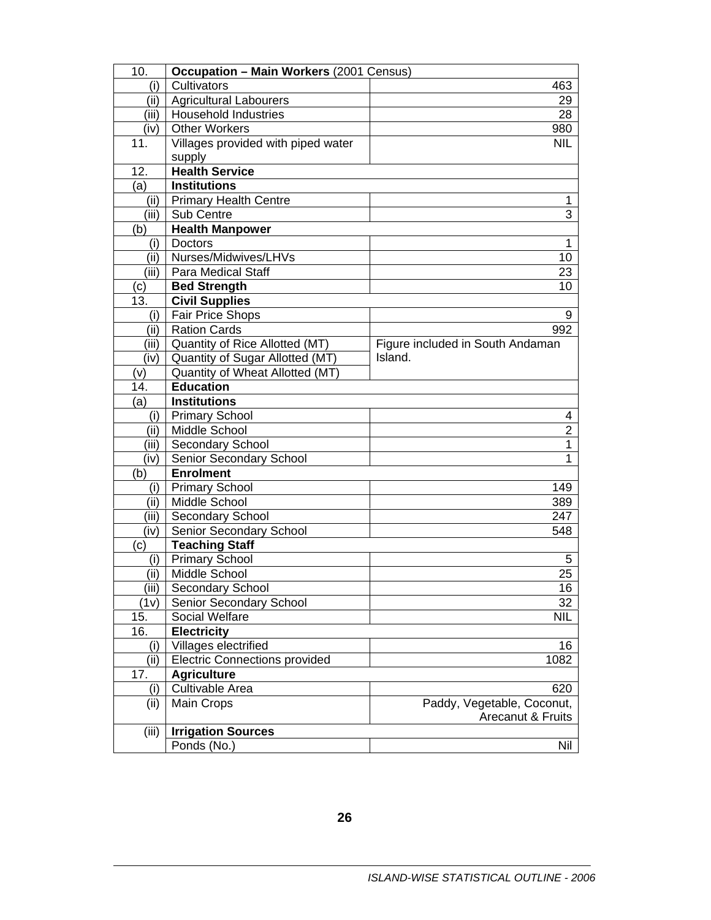| 10.         | <b>Occupation - Main Workers (2001 Census)</b>      |                                             |  |
|-------------|-----------------------------------------------------|---------------------------------------------|--|
| (i)         | Cultivators                                         | 463                                         |  |
|             | (ii)   Agricultural Labourers                       | 29                                          |  |
|             | (iii)   Household Industries                        | 28                                          |  |
| (iv)        | <b>Other Workers</b>                                | 980                                         |  |
| 11.         | Villages provided with piped water                  | <b>NIL</b>                                  |  |
|             | supply                                              |                                             |  |
| 12.         | <b>Health Service</b>                               |                                             |  |
| (a)         | <b>Institutions</b>                                 |                                             |  |
|             | (ii)   Primary Health Centre                        | 1                                           |  |
| (iii)       | Sub Centre                                          | 3                                           |  |
| (b)         | <b>Health Manpower</b>                              |                                             |  |
| (i)         | <b>Doctors</b>                                      | 1                                           |  |
| (ii)        | Nurses/Midwives/LHVs                                | 10                                          |  |
| (iii)       | <b>Para Medical Staff</b>                           | 23                                          |  |
| (c)         | <b>Bed Strength</b>                                 | 10                                          |  |
| 13.         | <b>Civil Supplies</b>                               |                                             |  |
| (i)         | <b>Fair Price Shops</b>                             | 9                                           |  |
| (ii)        | <b>Ration Cards</b>                                 | 992                                         |  |
| (iii)       | Quantity of Rice Allotted (MT)                      | Figure included in South Andaman<br>Island. |  |
| (iv)        | Quantity of Sugar Allotted (MT)                     |                                             |  |
| (v)         | Quantity of Wheat Allotted (MT)<br><b>Education</b> |                                             |  |
| 14.         | <b>Institutions</b>                                 |                                             |  |
| (a)         |                                                     |                                             |  |
| (i)<br>(ii) | <b>Primary School</b><br>Middle School              | 4<br>$\overline{2}$                         |  |
| (iii)       | Secondary School                                    | $\mathbf{1}$                                |  |
| (iv)        | Senior Secondary School                             | 1                                           |  |
| (b)         | <b>Enrolment</b>                                    |                                             |  |
| (i)         | <b>Primary School</b>                               | 149                                         |  |
| (ii)        | Middle School                                       | 389                                         |  |
| (iii)       | Secondary School                                    | 247                                         |  |
| (iv)        | Senior Secondary School                             | 548                                         |  |
| (c)         | <b>Teaching Staff</b>                               |                                             |  |
|             | (i)   Primary School                                | 5                                           |  |
|             | (ii) Middle School                                  | 25                                          |  |
| (iii)       | Secondary School                                    | 16                                          |  |
| (1v)        | Senior Secondary School                             | 32                                          |  |
| 15.         | <b>Social Welfare</b>                               | <b>NIL</b>                                  |  |
| 16.         | <b>Electricity</b>                                  |                                             |  |
| (i)         | Villages electrified                                | 16                                          |  |
| (ii)        | <b>Electric Connections provided</b>                | 1082                                        |  |
| 17.         | <b>Agriculture</b>                                  |                                             |  |
| (i)         | Cultivable Area                                     | 620                                         |  |
| (ii)        | Main Crops                                          | Paddy, Vegetable, Coconut,                  |  |
|             |                                                     | Arecanut & Fruits                           |  |
| (iii)       | <b>Irrigation Sources</b>                           |                                             |  |
|             | Ponds (No.)                                         | Nil                                         |  |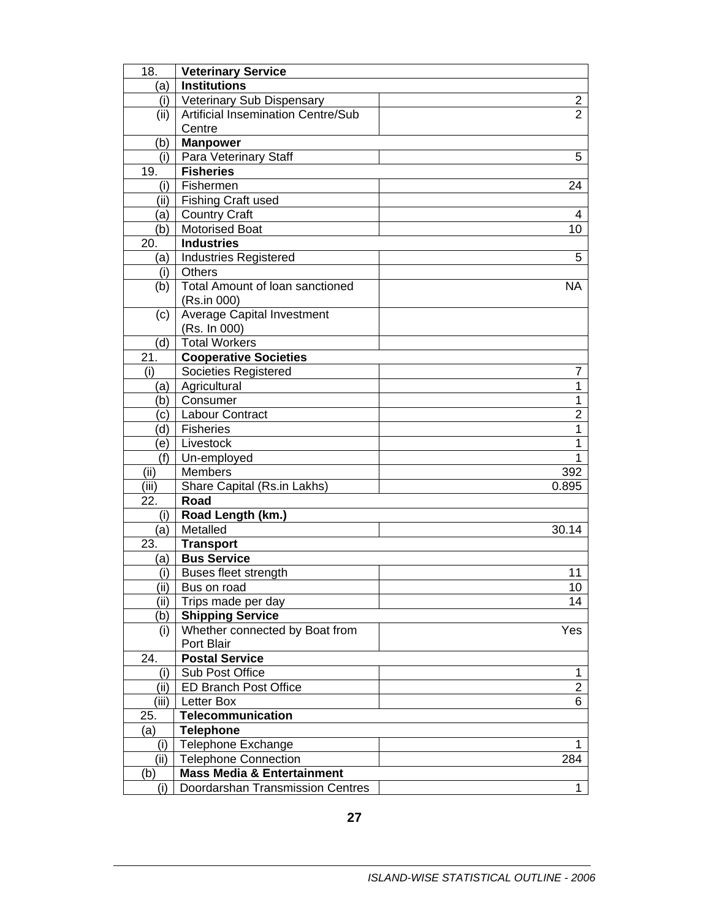| 18.          | <b>Veterinary Service</b>                  |                |
|--------------|--------------------------------------------|----------------|
| (a)          | <b>Institutions</b>                        |                |
|              | (i) Veterinary Sub Dispensary              | $\overline{2}$ |
| (ii)         | <b>Artificial Insemination Centre/Sub</b>  | $\overline{2}$ |
|              | Centre                                     |                |
| (b)          | <b>Manpower</b>                            |                |
| (i)          | Para Veterinary Staff                      | 5              |
| 19.          | <b>Fisheries</b>                           |                |
| (i)          | Fishermen                                  | 24             |
| (iii)        | <b>Fishing Craft used</b>                  |                |
| (a)          | <b>Country Craft</b>                       | 4              |
| (b)          | <b>Motorised Boat</b>                      | 10             |
| 20.          | <b>Industries</b>                          |                |
| (a)          | <b>Industries Registered</b>               | 5              |
| (i)          | <b>Others</b>                              |                |
| (b)          | Total Amount of Ioan sanctioned            | NА             |
|              | (Rs.in 000)                                |                |
| (c)          | <b>Average Capital Investment</b>          |                |
|              | (Rs. In 000)                               |                |
| (d)          | <b>Total Workers</b>                       |                |
| 21.          | <b>Cooperative Societies</b>               |                |
| (i)          | Societies Registered                       | 7              |
| (a) l        | Agricultural                               | $\mathbf{1}$   |
| (b)          | Consumer                                   | $\mathbf{1}$   |
| (c)          | Labour Contract                            | $\overline{2}$ |
| d)           | <b>Fisheries</b>                           | $\mathbf{1}$   |
| e)           | Livestock                                  | 1              |
| (f)          | Un-employed                                | 1              |
| (ii)         | Members                                    | 392            |
| (iii)        | Share Capital (Rs.in Lakhs)                | 0.895          |
| 22.          | Road                                       |                |
| (i)          | Road Length (km.)                          |                |
| (a)          | Metalled                                   | 30.14          |
| 23.          | <b>Transport</b>                           |                |
| ัa) ∣        | <b>Bus Service</b>                         |                |
| (i)          | Buses fleet strength                       | 11             |
| (ii)         | Bus on road                                | 10             |
| (ii)         | Trips made per day                         | 14             |
| (b)          | <b>Shipping Service</b>                    |                |
| (i)          | Whether connected by Boat from             | Yes            |
|              | Port Blair                                 |                |
| 24.          | <b>Postal Service</b>                      |                |
| (i)          | Sub Post Office                            | 1              |
| (ii)         | <b>ED Branch Post Office</b><br>Letter Box | $\overline{2}$ |
| (iii)<br>25. | Telecommunication                          | 6              |
|              | <b>Telephone</b>                           |                |
| (a)<br>(i)   | <b>Telephone Exchange</b>                  | 1              |
| (iii)        | Telephone Connection                       | 284            |
| (b)          | <b>Mass Media &amp; Entertainment</b>      |                |
| (i)          | Doordarshan Transmission Centres           | 1              |
|              |                                            |                |